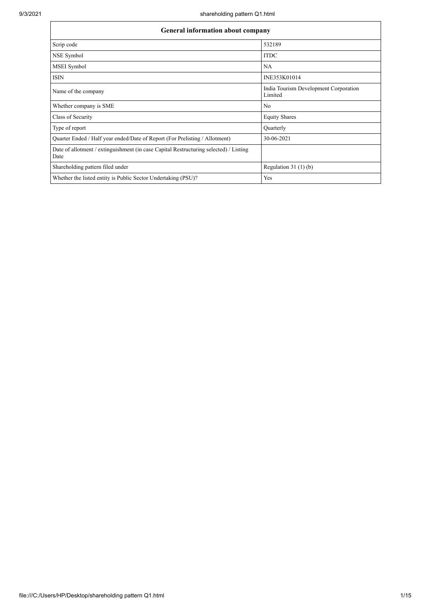| General information about company                                                             |                                                  |  |  |  |  |  |  |
|-----------------------------------------------------------------------------------------------|--------------------------------------------------|--|--|--|--|--|--|
| Scrip code                                                                                    | 532189                                           |  |  |  |  |  |  |
| NSE Symbol                                                                                    | <b>ITDC</b>                                      |  |  |  |  |  |  |
| MSEI Symbol                                                                                   | <b>NA</b>                                        |  |  |  |  |  |  |
| <b>ISIN</b>                                                                                   | INE353K01014                                     |  |  |  |  |  |  |
| Name of the company                                                                           | India Tourism Development Corporation<br>Limited |  |  |  |  |  |  |
| Whether company is SME                                                                        | No                                               |  |  |  |  |  |  |
| Class of Security                                                                             | <b>Equity Shares</b>                             |  |  |  |  |  |  |
| Type of report                                                                                | Quarterly                                        |  |  |  |  |  |  |
| Quarter Ended / Half year ended/Date of Report (For Prelisting / Allotment)                   | 30-06-2021                                       |  |  |  |  |  |  |
| Date of allotment / extinguishment (in case Capital Restructuring selected) / Listing<br>Date |                                                  |  |  |  |  |  |  |
| Shareholding pattern filed under                                                              | Regulation $31(1)(b)$                            |  |  |  |  |  |  |
| Whether the listed entity is Public Sector Undertaking (PSU)?                                 | Yes                                              |  |  |  |  |  |  |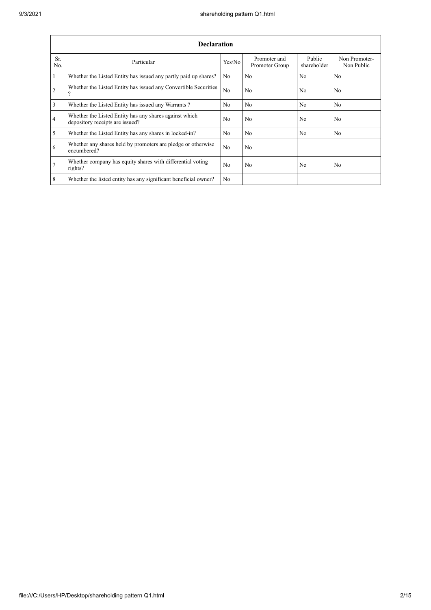|                | <b>Declaration</b>                                                                          |                |                                |                       |                             |  |  |  |  |  |  |
|----------------|---------------------------------------------------------------------------------------------|----------------|--------------------------------|-----------------------|-----------------------------|--|--|--|--|--|--|
| Sr.<br>No.     | Particular                                                                                  | Yes/No         | Promoter and<br>Promoter Group | Public<br>shareholder | Non Promoter-<br>Non Public |  |  |  |  |  |  |
| $\mathbf{1}$   | Whether the Listed Entity has issued any partly paid up shares?                             | No             | No                             | N <sub>o</sub>        | N <sub>o</sub>              |  |  |  |  |  |  |
| $\overline{2}$ | Whether the Listed Entity has issued any Convertible Securities<br>$\overline{\mathcal{L}}$ | N <sub>o</sub> | No                             | N <sub>0</sub>        | N <sub>0</sub>              |  |  |  |  |  |  |
| 3              | Whether the Listed Entity has issued any Warrants?                                          | N <sub>0</sub> | N <sub>0</sub>                 | N <sub>o</sub>        | N <sub>0</sub>              |  |  |  |  |  |  |
| $\overline{4}$ | Whether the Listed Entity has any shares against which<br>depository receipts are issued?   | No             | No                             | No                    | N <sub>o</sub>              |  |  |  |  |  |  |
| 5              | Whether the Listed Entity has any shares in locked-in?                                      | N <sub>o</sub> | No                             | No                    | N <sub>o</sub>              |  |  |  |  |  |  |
| 6              | Whether any shares held by promoters are pledge or otherwise<br>encumbered?                 | N <sub>o</sub> | No                             |                       |                             |  |  |  |  |  |  |
| $\overline{7}$ | Whether company has equity shares with differential voting<br>rights?                       | N <sub>0</sub> | No                             | No                    | N <sub>o</sub>              |  |  |  |  |  |  |
| 8              | Whether the listed entity has any significant beneficial owner?                             | N <sub>0</sub> |                                |                       |                             |  |  |  |  |  |  |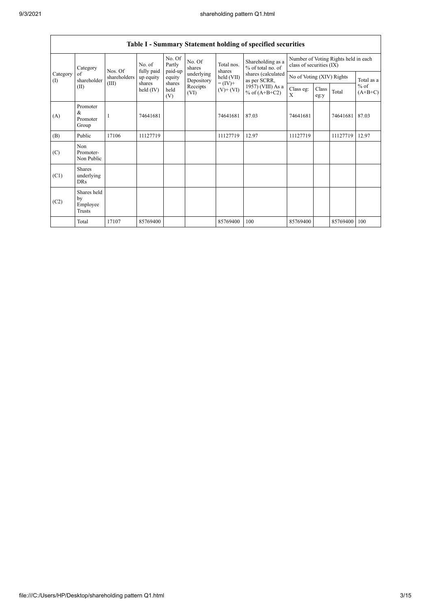|                                           |                                           |              |                      |                       |                          |                              | Table I - Summary Statement holding of specified securities |                                                                  |               |          |                                   |
|-------------------------------------------|-------------------------------------------|--------------|----------------------|-----------------------|--------------------------|------------------------------|-------------------------------------------------------------|------------------------------------------------------------------|---------------|----------|-----------------------------------|
| Category<br>Category<br>of<br>(1)<br>(II) |                                           | Nos. Of      | No. of<br>fully paid | No. Of<br>Partly      | No. Of<br>shares         | Total nos.<br>shares         | Shareholding as a<br>% of total no. of                      | Number of Voting Rights held in each<br>class of securities (IX) |               |          |                                   |
|                                           | shareholder                               | shareholders | up equity            | paid-up<br>equity     | underlying<br>Depository | held (VII)                   | shares (calculated<br>as per SCRR,                          | No of Voting (XIV) Rights                                        |               |          | Total as a<br>$%$ of<br>$(A+B+C)$ |
|                                           |                                           | (III)        | shares<br>held (IV)  | shares<br>held<br>(V) | Receipts<br>(VI)         | $= (IV) +$<br>$(V)$ + $(VI)$ | 1957) (VIII) As a<br>% of $(A+B+C2)$                        | Class eg:<br>X                                                   | Class<br>eg:y | Total    |                                   |
| (A)                                       | Promoter<br>&<br>Promoter<br>Group        |              | 74641681             |                       |                          | 74641681                     | 87.03                                                       | 74641681                                                         |               | 74641681 | 87.03                             |
| (B)                                       | Public                                    | 17106        | 11127719             |                       |                          | 11127719                     | 12.97                                                       | 11127719                                                         |               | 11127719 | 12.97                             |
| (C)                                       | Non<br>Promoter-<br>Non Public            |              |                      |                       |                          |                              |                                                             |                                                                  |               |          |                                   |
| (C1)                                      | <b>Shares</b><br>underlying<br><b>DRs</b> |              |                      |                       |                          |                              |                                                             |                                                                  |               |          |                                   |
| (C2)                                      | Shares held<br>by<br>Employee<br>Trusts   |              |                      |                       |                          |                              |                                                             |                                                                  |               |          |                                   |
|                                           | Total                                     | 17107        | 85769400             |                       |                          | 85769400                     | 100                                                         | 85769400                                                         |               | 85769400 | 100                               |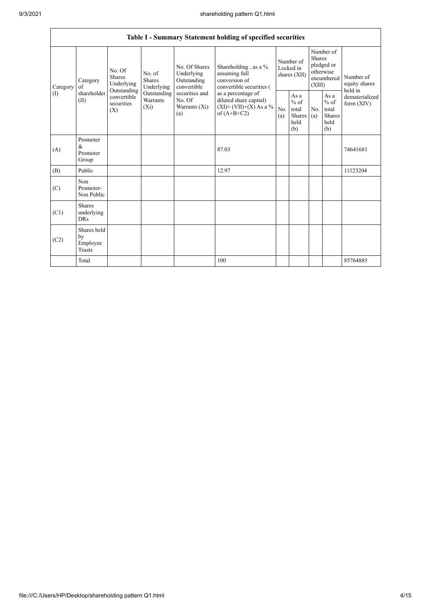|                 | Table I - Summary Statement holding of specified securities |                                                 |                                    |                                                                                                               |                                                                                            |                                        |                                                  |                                                                               |                                                                    |                                       |  |
|-----------------|-------------------------------------------------------------|-------------------------------------------------|------------------------------------|---------------------------------------------------------------------------------------------------------------|--------------------------------------------------------------------------------------------|----------------------------------------|--------------------------------------------------|-------------------------------------------------------------------------------|--------------------------------------------------------------------|---------------------------------------|--|
| Category<br>(1) | Category<br>of<br>shareholder<br>(II)                       | No. Of<br><b>Shares</b><br>Underlying           | No. of<br>Shares<br>Underlying     | No. Of Shares<br>Underlying<br>Outstanding<br>convertible<br>securities and<br>No. Of<br>Warrants (Xi)<br>(a) | Shareholding, as a %<br>assuming full<br>conversion of<br>convertible securities (         | Number of<br>Locked in<br>shares (XII) |                                                  | Number of<br><b>Shares</b><br>pledged or<br>otherwise<br>encumbered<br>(XIII) |                                                                    | Number of<br>equity shares<br>held in |  |
|                 |                                                             | Outstanding<br>convertible<br>securities<br>(X) | Outstanding<br>Warrants<br>$(X_i)$ |                                                                                                               | as a percentage of<br>diluted share capital)<br>$(XI) = (VII)+(X) As a %$<br>of $(A+B+C2)$ | No.<br>(a)                             | As a<br>$%$ of<br>total<br>Shares<br>held<br>(b) | No.<br>(a)                                                                    | As $\mathbf{a}$<br>$%$ of<br>total<br><b>Shares</b><br>held<br>(b) | dematerialized<br>form $(XIV)$        |  |
| (A)             | Promoter<br>$\&$<br>Promoter<br>Group                       |                                                 |                                    |                                                                                                               | 87.03                                                                                      |                                        |                                                  |                                                                               |                                                                    | 74641681                              |  |
| (B)             | Public                                                      |                                                 |                                    |                                                                                                               | 12.97                                                                                      |                                        |                                                  |                                                                               |                                                                    | 11123204                              |  |
| (C)             | Non<br>Promoter-<br>Non Public                              |                                                 |                                    |                                                                                                               |                                                                                            |                                        |                                                  |                                                                               |                                                                    |                                       |  |
| (C1)            | <b>Shares</b><br>underlying<br><b>DRs</b>                   |                                                 |                                    |                                                                                                               |                                                                                            |                                        |                                                  |                                                                               |                                                                    |                                       |  |
| (C2)            | Shares held<br>by<br>Employee<br><b>Trusts</b>              |                                                 |                                    |                                                                                                               |                                                                                            |                                        |                                                  |                                                                               |                                                                    |                                       |  |
|                 | Total                                                       |                                                 |                                    |                                                                                                               | 100                                                                                        |                                        |                                                  |                                                                               |                                                                    | 85764885                              |  |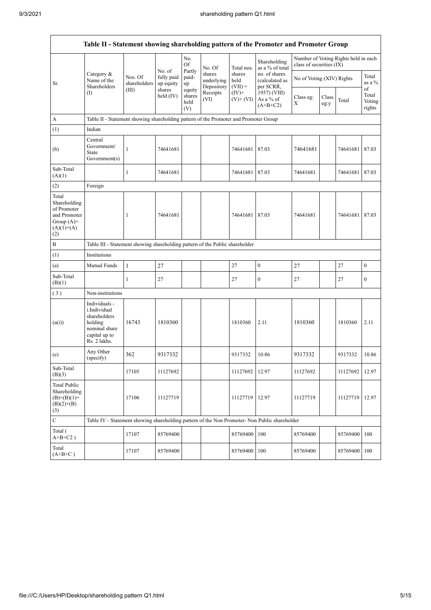$\mathsf{r}$ 

| Table II - Statement showing shareholding pattern of the Promoter and Promoter Group        |                                                                                                            |                         |                                   |                                 |                                    |                             |                                              |                           |               |                                      |                           |  |  |
|---------------------------------------------------------------------------------------------|------------------------------------------------------------------------------------------------------------|-------------------------|-----------------------------------|---------------------------------|------------------------------------|-----------------------------|----------------------------------------------|---------------------------|---------------|--------------------------------------|---------------------------|--|--|
|                                                                                             |                                                                                                            |                         | No. of                            | No.<br>Of                       | No. Of                             | Total nos.                  | Shareholding<br>as a % of total              | class of securities (IX)  |               | Number of Voting Rights held in each |                           |  |  |
| Sr.                                                                                         | Category &<br>Name of the<br>Shareholders                                                                  | Nos. Of<br>shareholders | fully paid<br>up equity<br>shares | Partly<br>paid-<br>up           | shares<br>underlying<br>Depository | shares<br>held<br>$(VII) =$ | no. of shares<br>(calculated as<br>per SCRR, | No of Voting (XIV) Rights |               |                                      | Total<br>as a %<br>of     |  |  |
|                                                                                             | $($ I                                                                                                      | (III)                   | held $(IV)$                       | equity<br>shares<br>held<br>(V) | Receipts<br>(VI)                   | $(IV)+$<br>$(V)$ + $(VI)$   | 1957) (VIII)<br>As a % of<br>$(A+B+C2)$      | Class eg:<br>X            | Class<br>eg:y | Total                                | Total<br>Voting<br>rights |  |  |
| A                                                                                           | Table II - Statement showing shareholding pattern of the Promoter and Promoter Group                       |                         |                                   |                                 |                                    |                             |                                              |                           |               |                                      |                           |  |  |
| (1)                                                                                         | Indian                                                                                                     |                         |                                   |                                 |                                    |                             |                                              |                           |               |                                      |                           |  |  |
| (b)                                                                                         | Central<br>Government/<br>State<br>Government(s)                                                           | $\mathbf{1}$            | 74641681                          |                                 |                                    | 74641681                    | 87.03                                        | 74641681                  |               | 74641681                             | 87.03                     |  |  |
| Sub-Total<br>(A)(1)                                                                         |                                                                                                            | $\mathbf{1}$            | 74641681                          |                                 |                                    | 74641681                    | 87.03                                        | 74641681                  |               | 74641681                             | 87.03                     |  |  |
| (2)                                                                                         | Foreign                                                                                                    |                         |                                   |                                 |                                    |                             |                                              |                           |               |                                      |                           |  |  |
| Total<br>Shareholding<br>of Promoter<br>and Promoter<br>Group $(A)=$<br>$(A)(1)+(A)$<br>(2) |                                                                                                            | 1                       | 74641681                          |                                 |                                    | 74641681                    | 87.03                                        | 74641681                  |               | 74641681                             | 87.03                     |  |  |
| B                                                                                           | Table III - Statement showing shareholding pattern of the Public shareholder                               |                         |                                   |                                 |                                    |                             |                                              |                           |               |                                      |                           |  |  |
| (1)                                                                                         | Institutions                                                                                               |                         |                                   |                                 |                                    |                             |                                              |                           |               |                                      |                           |  |  |
| (a)                                                                                         | Mutual Funds                                                                                               | $\mathbf{1}$            | 27                                |                                 |                                    | 27                          | $\boldsymbol{0}$                             | $27\,$                    |               | 27                                   | $\boldsymbol{0}$          |  |  |
| Sub-Total<br>(B)(1)                                                                         |                                                                                                            | $\mathbf{1}$            | 27                                |                                 |                                    | 27                          | $\boldsymbol{0}$                             | 27                        |               | 27                                   | $\boldsymbol{0}$          |  |  |
| (3)                                                                                         | Non-institutions                                                                                           |                         |                                   |                                 |                                    |                             |                                              |                           |               |                                      |                           |  |  |
| (a(i))                                                                                      | Individuals -<br>i.Individual<br>shareholders<br>holding<br>nominal share<br>capital up to<br>Rs. 2 lakhs. | 16743                   | 1810360                           |                                 |                                    | 1810360                     | 2.11                                         | 1810360                   |               | 1810360                              | 2.11                      |  |  |
| (e)                                                                                         | Any Other<br>(specify)                                                                                     | 362                     | 9317332                           |                                 |                                    | 9317332                     | 10.86                                        | 9317332                   |               | 9317332                              | 10.86                     |  |  |
| Sub-Total<br>(B)(3)                                                                         |                                                                                                            | 17105                   | 11127692                          |                                 |                                    | 11127692                    | 12.97                                        | 11127692                  |               | 11127692                             | 12.97                     |  |  |
| <b>Total Public</b><br>Shareholding<br>$(B)=(B)(1)+$<br>$(B)(2)+(B)$<br>(3)                 |                                                                                                            | 17106                   | 11127719                          |                                 |                                    | 11127719                    | 12.97                                        | 11127719                  |               | 11127719                             | 12.97                     |  |  |
| $\mathbf C$                                                                                 | Table IV - Statement showing shareholding pattern of the Non Promoter- Non Public shareholder              |                         |                                   |                                 |                                    |                             |                                              |                           |               |                                      |                           |  |  |
| Total (<br>$A+B+C2$ )                                                                       |                                                                                                            | 17107                   | 85769400                          |                                 |                                    | 85769400                    | 100                                          | 85769400                  |               | 85769400                             | 100                       |  |  |
| Total<br>$(A+B+C)$                                                                          |                                                                                                            | 17107                   | 85769400                          |                                 |                                    | 85769400                    | 100                                          | 85769400                  |               | 85769400                             | 100                       |  |  |

 $\overline{\mathsf{I}}$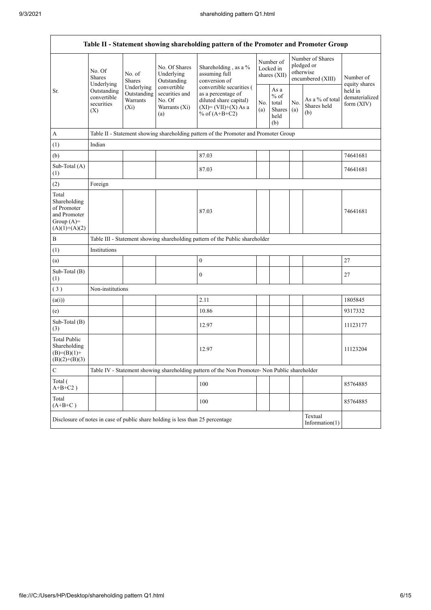$\overline{1}$ 

| Table II - Statement showing shareholding pattern of the Promoter and Promoter Group    |                                                                                                                |                                                                                      |                                                                 |                                                                                                                        |                                        |                                                  |                                                                  |                                       |                                           |  |  |  |
|-----------------------------------------------------------------------------------------|----------------------------------------------------------------------------------------------------------------|--------------------------------------------------------------------------------------|-----------------------------------------------------------------|------------------------------------------------------------------------------------------------------------------------|----------------------------------------|--------------------------------------------------|------------------------------------------------------------------|---------------------------------------|-------------------------------------------|--|--|--|
|                                                                                         | No. Of<br><b>Shares</b><br>Underlying                                                                          | No. of<br><b>Shares</b>                                                              | No. Of Shares<br>Underlying<br>Outstanding                      | Shareholding, as a %<br>assuming full<br>conversion of                                                                 | Number of<br>Locked in<br>shares (XII) |                                                  | Number of Shares<br>pledged or<br>otherwise<br>encumbered (XIII) |                                       | Number of<br>equity shares                |  |  |  |
| Sr.                                                                                     | Outstanding<br>convertible<br>securities<br>(X)                                                                | Underlying<br>Outstanding<br>Warrants<br>$(X_i)$                                     | convertible<br>securities and<br>No. Of<br>Warrants (Xi)<br>(a) | convertible securities (<br>as a percentage of<br>diluted share capital)<br>$(XI) = (VII)+(X) As a$<br>% of $(A+B+C2)$ |                                        | As a<br>$%$ of<br>total<br>Shares<br>held<br>(b) | No.<br>(a)                                                       | As a % of total<br>Shares held<br>(b) | held in<br>dematerialized<br>form $(XIV)$ |  |  |  |
| A                                                                                       |                                                                                                                | Table II - Statement showing shareholding pattern of the Promoter and Promoter Group |                                                                 |                                                                                                                        |                                        |                                                  |                                                                  |                                       |                                           |  |  |  |
| (1)                                                                                     | Indian                                                                                                         |                                                                                      |                                                                 |                                                                                                                        |                                        |                                                  |                                                                  |                                       |                                           |  |  |  |
| (b)                                                                                     |                                                                                                                |                                                                                      |                                                                 | 87.03                                                                                                                  |                                        |                                                  |                                                                  |                                       | 74641681                                  |  |  |  |
| Sub-Total (A)<br>(1)                                                                    |                                                                                                                |                                                                                      |                                                                 | 87.03                                                                                                                  |                                        |                                                  |                                                                  |                                       | 74641681                                  |  |  |  |
| (2)                                                                                     | Foreign                                                                                                        |                                                                                      |                                                                 |                                                                                                                        |                                        |                                                  |                                                                  |                                       |                                           |  |  |  |
| Total<br>Shareholding<br>of Promoter<br>and Promoter<br>Group $(A)=$<br>$(A)(1)+(A)(2)$ |                                                                                                                |                                                                                      |                                                                 | 87.03                                                                                                                  |                                        |                                                  |                                                                  |                                       | 74641681                                  |  |  |  |
| $\, {\bf B}$                                                                            |                                                                                                                |                                                                                      |                                                                 | Table III - Statement showing shareholding pattern of the Public shareholder                                           |                                        |                                                  |                                                                  |                                       |                                           |  |  |  |
| (1)                                                                                     | Institutions                                                                                                   |                                                                                      |                                                                 |                                                                                                                        |                                        |                                                  |                                                                  |                                       |                                           |  |  |  |
| (a)                                                                                     |                                                                                                                |                                                                                      |                                                                 | $\boldsymbol{0}$                                                                                                       |                                        |                                                  |                                                                  |                                       | 27                                        |  |  |  |
| Sub-Total (B)<br>(1)                                                                    |                                                                                                                |                                                                                      |                                                                 | $\boldsymbol{0}$                                                                                                       |                                        |                                                  |                                                                  |                                       | 27                                        |  |  |  |
| (3)                                                                                     | Non-institutions                                                                                               |                                                                                      |                                                                 |                                                                                                                        |                                        |                                                  |                                                                  |                                       |                                           |  |  |  |
| (a(i))                                                                                  |                                                                                                                |                                                                                      |                                                                 | 2.11                                                                                                                   |                                        |                                                  |                                                                  |                                       | 1805845                                   |  |  |  |
| (e)                                                                                     |                                                                                                                |                                                                                      |                                                                 | 10.86                                                                                                                  |                                        |                                                  |                                                                  |                                       | 9317332                                   |  |  |  |
| Sub-Total (B)<br>(3)                                                                    |                                                                                                                |                                                                                      |                                                                 | 12.97                                                                                                                  |                                        |                                                  |                                                                  |                                       | 11123177                                  |  |  |  |
| <b>Total Public</b><br>Shareholding<br>$(B)= (B)(1) +$<br>$(B)(2)+(B)(3)$               |                                                                                                                |                                                                                      |                                                                 | 12.97                                                                                                                  |                                        |                                                  |                                                                  |                                       | 11123204                                  |  |  |  |
| ${\bf C}$                                                                               |                                                                                                                |                                                                                      |                                                                 | Table IV - Statement showing shareholding pattern of the Non Promoter- Non Public shareholder                          |                                        |                                                  |                                                                  |                                       |                                           |  |  |  |
| Total (<br>$A+B+C2$ )                                                                   |                                                                                                                |                                                                                      |                                                                 | 100                                                                                                                    |                                        |                                                  |                                                                  |                                       | 85764885                                  |  |  |  |
| Total<br>$(A+B+C)$                                                                      |                                                                                                                |                                                                                      |                                                                 | 100                                                                                                                    |                                        |                                                  |                                                                  |                                       | 85764885                                  |  |  |  |
|                                                                                         | Textual<br>Disclosure of notes in case of public share holding is less than 25 percentage<br>Information $(1)$ |                                                                                      |                                                                 |                                                                                                                        |                                        |                                                  |                                                                  |                                       |                                           |  |  |  |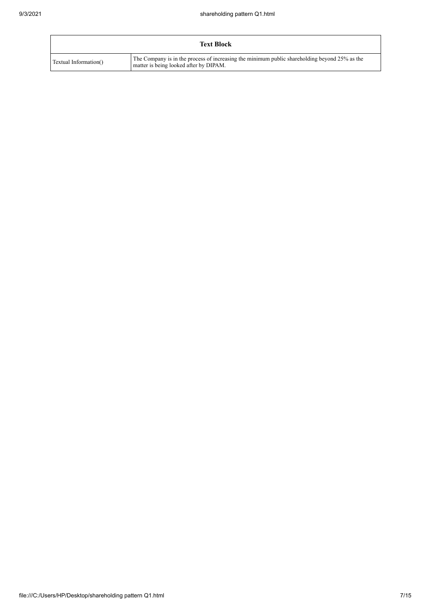| <b>Text Block</b>     |                                                                                                                                         |  |  |  |  |  |  |  |
|-----------------------|-----------------------------------------------------------------------------------------------------------------------------------------|--|--|--|--|--|--|--|
| Textual Information() | The Company is in the process of increasing the minimum public shareholding beyond 25% as the<br>matter is being looked after by DIPAM. |  |  |  |  |  |  |  |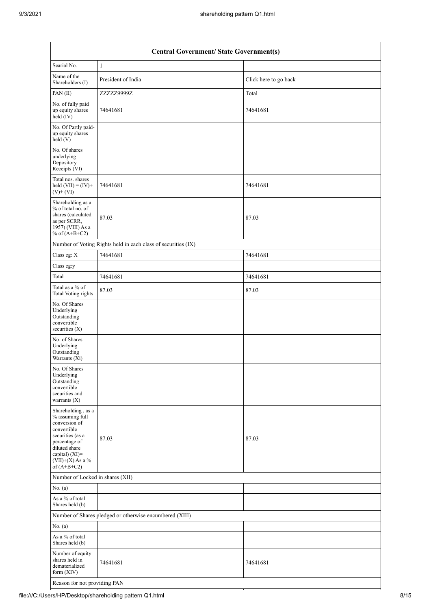| <b>Central Government/ State Government(s)</b>                                                                                                                                       |                                                               |                       |  |  |  |  |  |  |
|--------------------------------------------------------------------------------------------------------------------------------------------------------------------------------------|---------------------------------------------------------------|-----------------------|--|--|--|--|--|--|
| Searial No.                                                                                                                                                                          | $\mathbf{1}$                                                  |                       |  |  |  |  |  |  |
| Name of the<br>Shareholders (I)                                                                                                                                                      | President of India                                            | Click here to go back |  |  |  |  |  |  |
| PAN(II)                                                                                                                                                                              | ZZZZZ9999Z                                                    | Total                 |  |  |  |  |  |  |
| No. of fully paid<br>up equity shares<br>held (IV)                                                                                                                                   | 74641681                                                      | 74641681              |  |  |  |  |  |  |
| No. Of Partly paid-<br>up equity shares<br>held (V)                                                                                                                                  |                                                               |                       |  |  |  |  |  |  |
| No. Of shares<br>underlying<br>Depository<br>Receipts (VI)                                                                                                                           |                                                               |                       |  |  |  |  |  |  |
| Total nos. shares<br>held $(VII) = (IV) +$<br>$(V)+(VI)$                                                                                                                             | 74641681                                                      | 74641681              |  |  |  |  |  |  |
| Shareholding as a<br>% of total no. of<br>shares (calculated<br>as per SCRR,<br>1957) (VIII) As a<br>% of $(A+B+C2)$                                                                 | 87.03                                                         | 87.03                 |  |  |  |  |  |  |
|                                                                                                                                                                                      | Number of Voting Rights held in each class of securities (IX) |                       |  |  |  |  |  |  |
| Class eg: X                                                                                                                                                                          | 74641681                                                      | 74641681              |  |  |  |  |  |  |
| Class eg:y                                                                                                                                                                           |                                                               |                       |  |  |  |  |  |  |
| Total                                                                                                                                                                                | 74641681                                                      | 74641681              |  |  |  |  |  |  |
| Total as a % of<br><b>Total Voting rights</b>                                                                                                                                        | 87.03                                                         | 87.03                 |  |  |  |  |  |  |
| No. Of Shares<br>Underlying<br>Outstanding<br>convertible<br>securities (X)                                                                                                          |                                                               |                       |  |  |  |  |  |  |
| No. of Shares<br>Underlying<br>Outstanding<br>Warrants (Xi)                                                                                                                          |                                                               |                       |  |  |  |  |  |  |
| No. Of Shares<br>Underlying<br>Outstanding<br>convertible<br>securities and<br>warrants $(X)$                                                                                        |                                                               |                       |  |  |  |  |  |  |
| Shareholding, as a<br>% assuming full<br>conversion of<br>convertible<br>securities (as a<br>percentage of<br>diluted share<br>capital) (XI)=<br>$(VII)+(X)$ As a %<br>of $(A+B+C2)$ | 87.03                                                         | 87.03                 |  |  |  |  |  |  |
| Number of Locked in shares (XII)                                                                                                                                                     |                                                               |                       |  |  |  |  |  |  |
| No. (a)                                                                                                                                                                              |                                                               |                       |  |  |  |  |  |  |
| As a % of total<br>Shares held (b)                                                                                                                                                   |                                                               |                       |  |  |  |  |  |  |
| Number of Shares pledged or otherwise encumbered (XIII)                                                                                                                              |                                                               |                       |  |  |  |  |  |  |
| No. (a)                                                                                                                                                                              |                                                               |                       |  |  |  |  |  |  |
| As a % of total<br>Shares held (b)                                                                                                                                                   |                                                               |                       |  |  |  |  |  |  |
| Number of equity<br>shares held in<br>dematerialized<br>form (XIV)                                                                                                                   | 74641681                                                      | 74641681              |  |  |  |  |  |  |
| Reason for not providing PAN                                                                                                                                                         |                                                               |                       |  |  |  |  |  |  |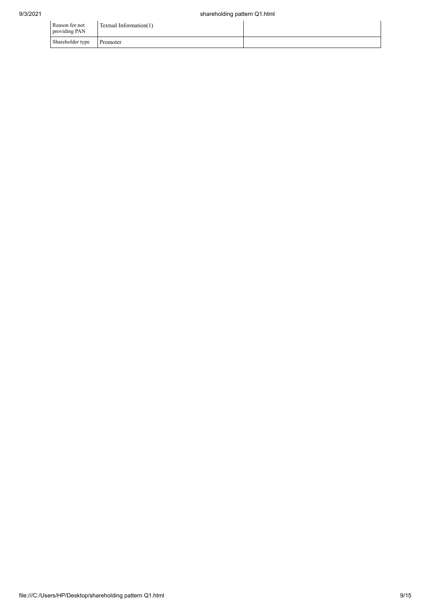| Reason for not<br>providing PAN | Textual Information(1) |  |
|---------------------------------|------------------------|--|
| Shareholder type                | Promoter               |  |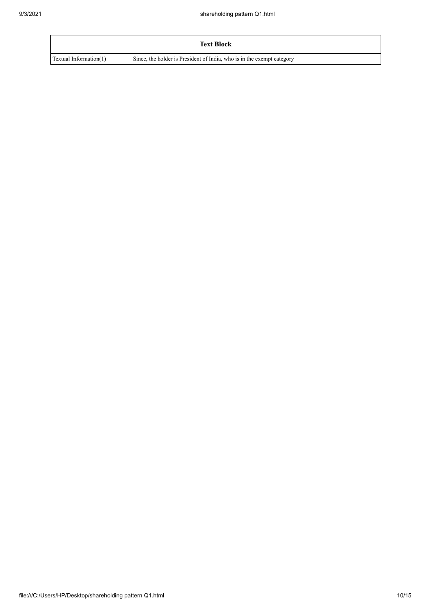|                        | <b>Text Block</b>                                                      |
|------------------------|------------------------------------------------------------------------|
| Textual Information(1) | Since, the holder is President of India, who is in the exempt category |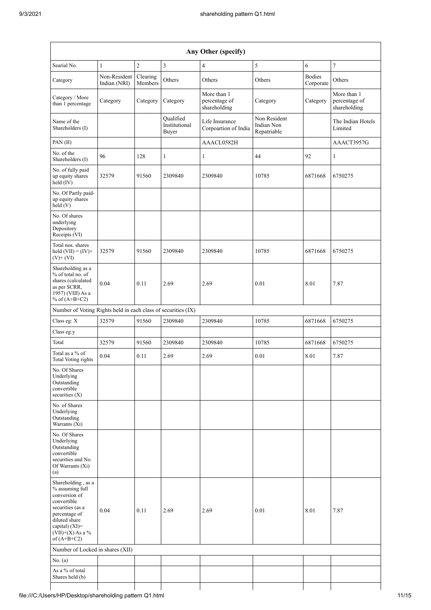| Any Other (specify)                                                                                                                                                                     |                              |                     |                                     |                                              |                                           |                            |                                              |  |  |  |
|-----------------------------------------------------------------------------------------------------------------------------------------------------------------------------------------|------------------------------|---------------------|-------------------------------------|----------------------------------------------|-------------------------------------------|----------------------------|----------------------------------------------|--|--|--|
| Searial No.                                                                                                                                                                             | 1                            | $\overline{2}$      | $\mathfrak z$                       | $\overline{4}$                               | 5                                         | 6                          | $\sqrt{ }$                                   |  |  |  |
| Category                                                                                                                                                                                | Non-Resident<br>Indian (NRI) | Clearing<br>Members | Others                              | Others                                       | Others                                    | <b>Bodies</b><br>Corporate | Others                                       |  |  |  |
| Category / More<br>than 1 percentage                                                                                                                                                    | Category                     | Category            | Category                            | More than 1<br>percentage of<br>shareholding | Category                                  | Category                   | More than 1<br>percentage of<br>shareholding |  |  |  |
| Name of the<br>Shareholders (I)                                                                                                                                                         |                              |                     | Oualified<br>Institutional<br>Buyer | Life Insurance<br>Corpoartion of India       | Non Resident<br>Indian Non<br>Repatriable |                            | The Indian Hotels<br>Limited                 |  |  |  |
| PAN(II)                                                                                                                                                                                 |                              |                     |                                     | AAACL0582H                                   |                                           |                            | AAACT3957G                                   |  |  |  |
| No. of the<br>Shareholders (I)                                                                                                                                                          | 96                           | 128                 | $\mathbf{1}$                        | 1                                            | 44                                        | 92                         | 1                                            |  |  |  |
| No. of fully paid<br>up equity shares<br>held (IV)                                                                                                                                      | 32579                        | 91560               | 2309840                             | 2309840                                      | 10785                                     | 6871668                    | 6750275                                      |  |  |  |
| No. Of Partly paid-<br>up equity shares<br>held(V)                                                                                                                                      |                              |                     |                                     |                                              |                                           |                            |                                              |  |  |  |
| No. Of shares<br>underlying<br>Depository<br>Receipts (VI)                                                                                                                              |                              |                     |                                     |                                              |                                           |                            |                                              |  |  |  |
| Total nos. shares<br>held $(VII) = (IV) +$<br>$(V)$ + $(VI)$                                                                                                                            | 32579                        | 91560               | 2309840                             | 2309840                                      | 10785                                     | 6871668                    | 6750275                                      |  |  |  |
| Shareholding as a<br>% of total no. of<br>shares (calculated<br>as per SCRR,<br>1957) (VIII) As a<br>% of $(A+B+C2)$                                                                    | 0.04                         | 0.11                | 2.69                                | 2.69                                         | 0.01                                      | 8.01                       | 7.87                                         |  |  |  |
| Number of Voting Rights held in each class of securities (IX)                                                                                                                           |                              |                     |                                     |                                              |                                           |                            |                                              |  |  |  |
| Class eg: X                                                                                                                                                                             | 32579                        | 91560               | 2309840                             | 2309840                                      | 10785                                     | 6871668                    | 6750275                                      |  |  |  |
| Class eg:y                                                                                                                                                                              |                              |                     |                                     |                                              |                                           |                            |                                              |  |  |  |
| Total                                                                                                                                                                                   | 32579                        | 91560               | 2309840                             | 2309840                                      | 10785                                     | 6871668                    | 6750275                                      |  |  |  |
| Total as a % of<br>Total Voting rights                                                                                                                                                  | 0.04                         | 0.11                | 2.69                                | 2.69                                         | 0.01                                      | 8.01                       | 7.87                                         |  |  |  |
| No. Of Shares<br>Underlying<br>Outstanding<br>convertible<br>securities $(X)$                                                                                                           |                              |                     |                                     |                                              |                                           |                            |                                              |  |  |  |
| No. of Shares<br>Underlying<br>Outstanding<br>Warrants (Xi)                                                                                                                             |                              |                     |                                     |                                              |                                           |                            |                                              |  |  |  |
| No. Of Shares<br>Underlying<br>Outstanding<br>convertible<br>securities and No.<br>Of Warrants (Xi)<br>(a)                                                                              |                              |                     |                                     |                                              |                                           |                            |                                              |  |  |  |
| Shareholding, as a<br>% assuming full<br>conversion of<br>convertible<br>securities (as a<br>percentage of<br>diluted share<br>capital) $(XI)$ =<br>$(VII)+(X)$ As a %<br>of $(A+B+C2)$ | 0.04                         | 0.11                | 2.69                                | 2.69                                         | 0.01                                      | 8.01                       | 7.87                                         |  |  |  |
| Number of Locked in shares (XII)                                                                                                                                                        |                              |                     |                                     |                                              |                                           |                            |                                              |  |  |  |
| No. (a)                                                                                                                                                                                 |                              |                     |                                     |                                              |                                           |                            |                                              |  |  |  |
| As a % of total<br>Shares held (b)                                                                                                                                                      |                              |                     |                                     |                                              |                                           |                            |                                              |  |  |  |

 $\overline{\phantom{a}}$ 

 $\mathbf{I}$ 

 $\mathsf{l}$ 

 $\mathsf{l}$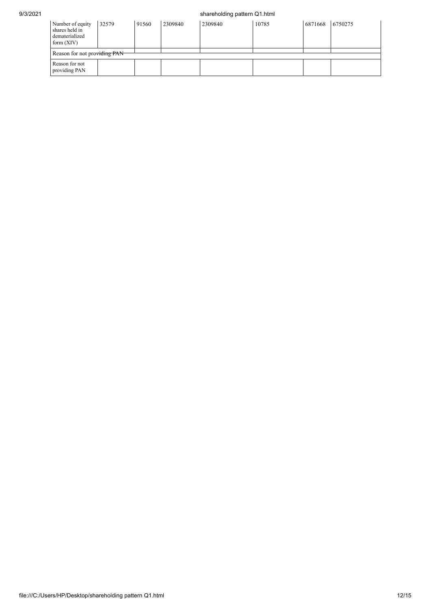## 9/3/2021 shareholding pattern Q1.html

| Number of equity<br>shares held in<br>dematerialized<br>form $(XIV)$ | 32579 | 91560 | 2309840 | 2309840 | 10785 | 6871668 | 6750275 |
|----------------------------------------------------------------------|-------|-------|---------|---------|-------|---------|---------|
| Reason for not providing PAN                                         |       |       |         |         |       |         |         |
| Reason for not<br>providing PAN                                      |       |       |         |         |       |         |         |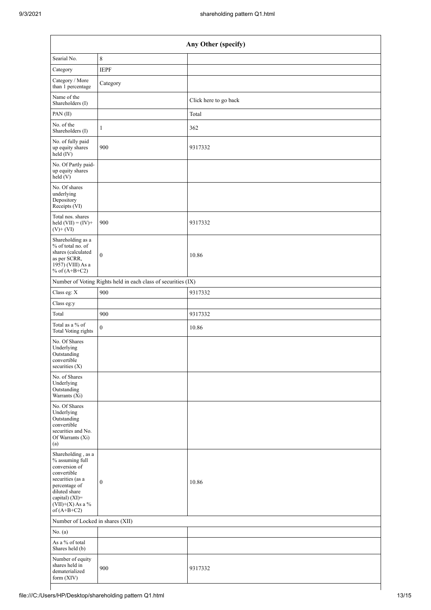| Any Other (specify)                                                                                                                                                                  |                                                               |                       |  |  |  |
|--------------------------------------------------------------------------------------------------------------------------------------------------------------------------------------|---------------------------------------------------------------|-----------------------|--|--|--|
| Searial No.                                                                                                                                                                          | 8                                                             |                       |  |  |  |
| Category                                                                                                                                                                             | <b>IEPF</b>                                                   |                       |  |  |  |
| Category / More<br>than 1 percentage                                                                                                                                                 | Category                                                      |                       |  |  |  |
| Name of the<br>Shareholders (I)                                                                                                                                                      |                                                               | Click here to go back |  |  |  |
| PAN(II)                                                                                                                                                                              |                                                               | Total                 |  |  |  |
| No. of the<br>Shareholders (I)                                                                                                                                                       | 1                                                             | 362                   |  |  |  |
| No. of fully paid<br>up equity shares<br>$\text{held}(\text{IV})$                                                                                                                    | 900                                                           | 9317332               |  |  |  |
| No. Of Partly paid-<br>up equity shares<br>held (V)                                                                                                                                  |                                                               |                       |  |  |  |
| No. Of shares<br>underlying<br>Depository<br>Receipts (VI)                                                                                                                           |                                                               |                       |  |  |  |
| Total nos. shares<br>held $(VII) = (IV) +$<br>$(V)$ + $(VI)$                                                                                                                         | 900                                                           | 9317332               |  |  |  |
| Shareholding as a<br>% of total no. of<br>shares (calculated<br>as per SCRR,<br>$19\bar{5}7$ ) (VIII) As a<br>% of $(A+B+C2)$                                                        | $\overline{0}$                                                | 10.86                 |  |  |  |
|                                                                                                                                                                                      | Number of Voting Rights held in each class of securities (IX) |                       |  |  |  |
| Class eg: X                                                                                                                                                                          | 900                                                           | 9317332               |  |  |  |
| Class eg:y                                                                                                                                                                           |                                                               |                       |  |  |  |
| Total                                                                                                                                                                                | 900                                                           | 9317332               |  |  |  |
| Total as a % of<br><b>Total Voting rights</b>                                                                                                                                        | $\overline{0}$                                                | 10.86                 |  |  |  |
| No. Of Shares<br>Underlying<br>Outstanding<br>convertible<br>securities (X)                                                                                                          |                                                               |                       |  |  |  |
| No. of Shares<br>Underlying<br>Outstanding<br>Warrants (Xi)                                                                                                                          |                                                               |                       |  |  |  |
| No. Of Shares<br>Underlying<br>Outstanding<br>convertible<br>securities and No.<br>Of Warrants (Xi)<br>(a)                                                                           |                                                               |                       |  |  |  |
| Shareholding, as a<br>% assuming full<br>conversion of<br>convertible<br>securities (as a<br>percentage of<br>diluted share<br>capital) (XI)=<br>$(VII)+(X)$ As a %<br>of $(A+B+C2)$ | $\boldsymbol{0}$                                              | 10.86                 |  |  |  |
| Number of Locked in shares (XII)                                                                                                                                                     |                                                               |                       |  |  |  |
| No. (a)                                                                                                                                                                              |                                                               |                       |  |  |  |
| As a % of total<br>Shares held (b)                                                                                                                                                   |                                                               |                       |  |  |  |
| Number of equity<br>shares held in<br>dematerialized<br>form (XIV)                                                                                                                   | 900                                                           | 9317332               |  |  |  |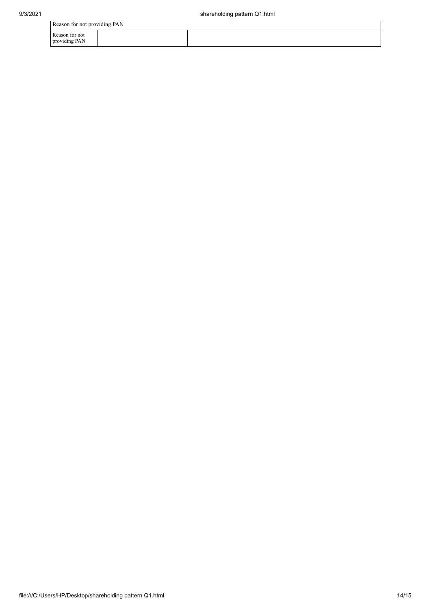Reason for not providing PAN

| Reason for not providing PAN    |  |  |  |  |
|---------------------------------|--|--|--|--|
| Reason for not<br>providing PAN |  |  |  |  |